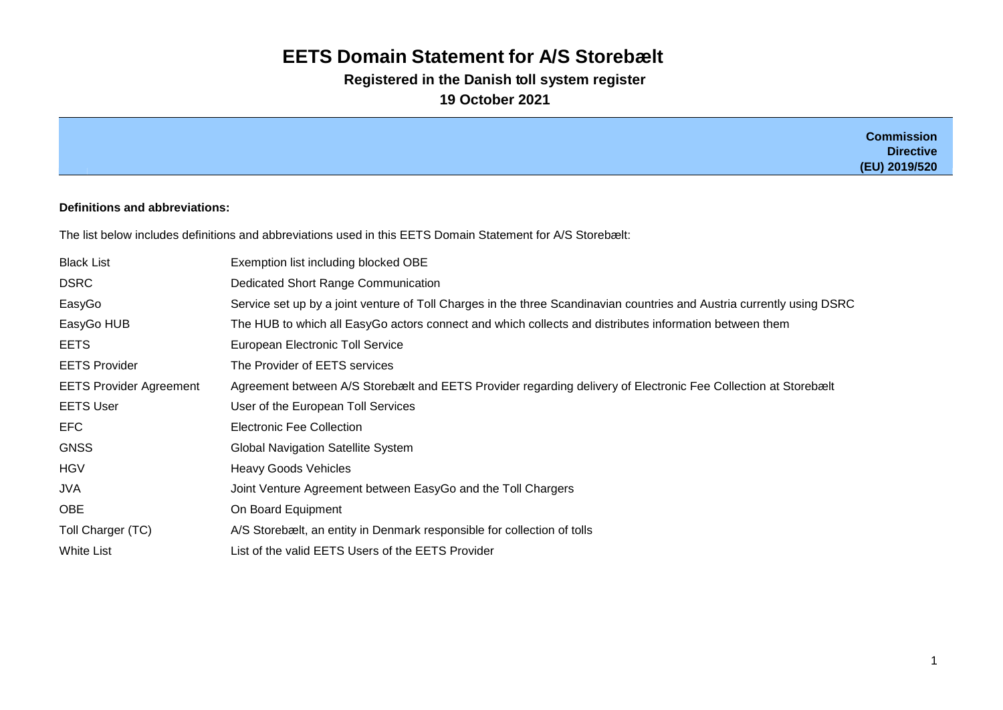# **EETS Domain Statement for A/S Storebælt**

**Registered in the Danish toll system register**

**19 October 2021**

|                                |                                                                                                                        | <b>Commission</b><br><b>Directive</b><br>(EU) 2019/520 |
|--------------------------------|------------------------------------------------------------------------------------------------------------------------|--------------------------------------------------------|
|                                |                                                                                                                        |                                                        |
| Definitions and abbreviations: |                                                                                                                        |                                                        |
|                                | The list below includes definitions and abbreviations used in this EETS Domain Statement for A/S Storebælt:            |                                                        |
| <b>Black List</b>              | Exemption list including blocked OBE                                                                                   |                                                        |
| <b>DSRC</b>                    | Dedicated Short Range Communication                                                                                    |                                                        |
| EasyGo                         | Service set up by a joint venture of Toll Charges in the three Scandinavian countries and Austria currently using DSRC |                                                        |
| EasyGo HUB                     | The HUB to which all EasyGo actors connect and which collects and distributes information between them                 |                                                        |
| <b>EETS</b>                    | European Electronic Toll Service                                                                                       |                                                        |
| <b>EETS Provider</b>           | The Provider of EETS services                                                                                          |                                                        |
| <b>EETS Provider Agreement</b> | Agreement between A/S Storebælt and EETS Provider regarding delivery of Electronic Fee Collection at Storebælt         |                                                        |
| <b>EETS User</b>               | User of the European Toll Services                                                                                     |                                                        |

EFC Electronic Fee Collection

HGV **Heavy Goods Vehicles** 

OBE **On Board Equipment** 

GNSS GNSS Global Navigation Satellite System

JVA Joint Venture Agreement between EasyGo and the Toll Chargers

White List Communist List of the valid EETS Users of the EETS Provider

Toll Charger (TC) A/S Storebælt, an entity in Denmark responsible for collection of tolls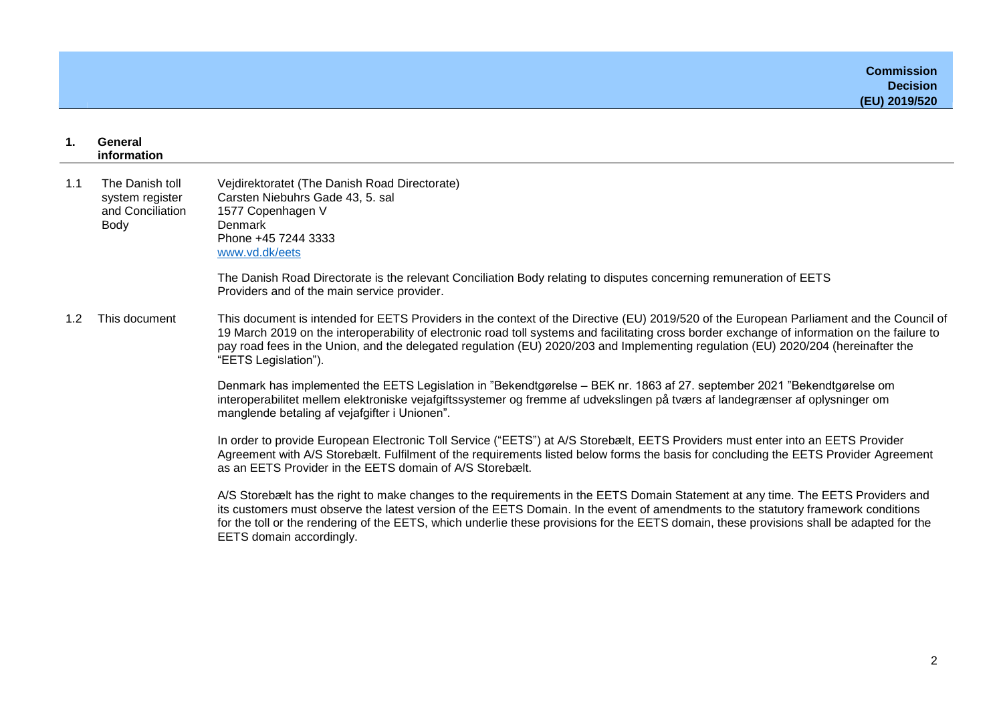| $\mathbf{1}$ .       | General<br>information                                         |                                                                                                                                                                                                                                                                                                                                                                                                                                                        |
|----------------------|----------------------------------------------------------------|--------------------------------------------------------------------------------------------------------------------------------------------------------------------------------------------------------------------------------------------------------------------------------------------------------------------------------------------------------------------------------------------------------------------------------------------------------|
| 1.1                  | The Danish toll<br>system register<br>and Conciliation<br>Body | Vejdirektoratet (The Danish Road Directorate)<br>Carsten Niebuhrs Gade 43, 5. sal<br>1577 Copenhagen V<br>Denmark<br>Phone +45 7244 3333<br>www.vd.dk/eets                                                                                                                                                                                                                                                                                             |
|                      |                                                                | The Danish Road Directorate is the relevant Conciliation Body relating to disputes concerning remuneration of EETS<br>Providers and of the main service provider.                                                                                                                                                                                                                                                                                      |
| This document<br>1.2 |                                                                | This document is intended for EETS Providers in the context of the Directive (EU) 2019/520 of the European Parliament and the Council of<br>19 March 2019 on the interoperability of electronic road toll systems and facilitating cross border exchange of information on the failure to<br>pay road fees in the Union, and the delegated regulation (EU) 2020/203 and Implementing regulation (EU) 2020/204 (hereinafter the<br>"EETS Legislation"). |
|                      |                                                                | Denmark has implemented the EETS Legislation in "Bekendtgørelse - BEK nr. 1863 af 27. september 2021 "Bekendtgørelse om<br>interoperabilitet mellem elektroniske vejafgiftssystemer og fremme af udvekslingen på tværs af landegrænser af oplysninger om<br>manglende betaling af vejafgifter i Unionen".                                                                                                                                              |
|                      |                                                                | In order to provide European Electronic Toll Service ("EETS") at A/S Storebælt, EETS Providers must enter into an EETS Provider<br>Agreement with A/S Storebælt. Fulfilment of the requirements listed below forms the basis for concluding the EETS Provider Agreement<br>as an EETS Provider in the EETS domain of A/S Storebælt.                                                                                                                    |
|                      |                                                                | A/S Storebælt has the right to make changes to the requirements in the EETS Domain Statement at any time. The EETS Providers and<br>its customers must observe the latest version of the EETS Domain. In the event of amendments to the statutory framework conditions<br>for the toll or the rendering of the EETS, which underlie these provisions for the EETS domain, these provisions shall be adapted for the<br>EETS domain accordingly.        |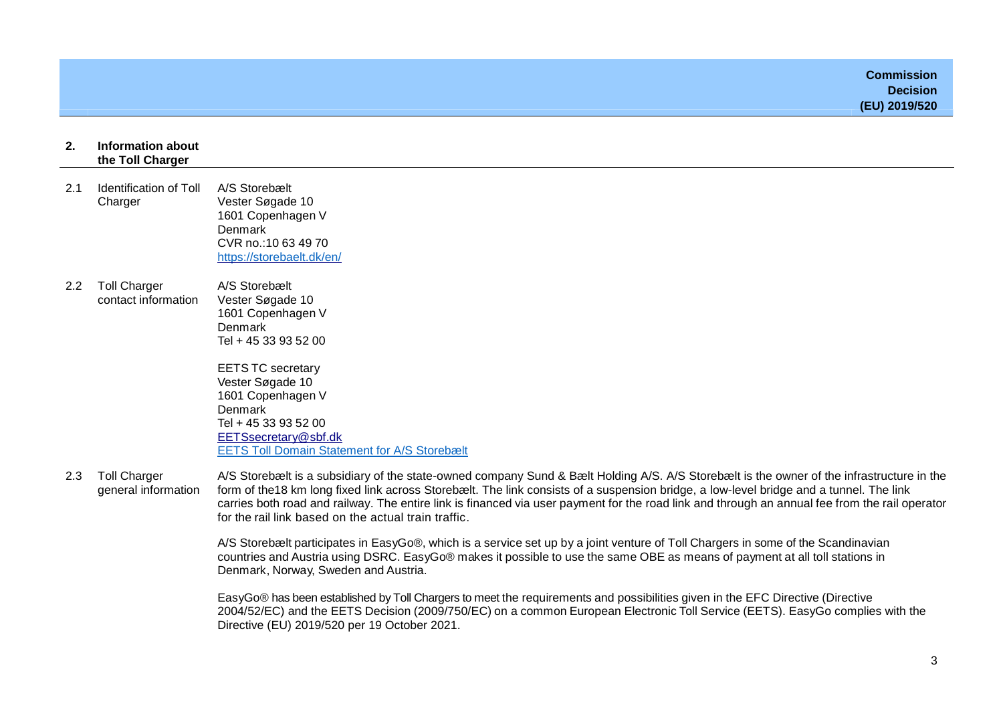|     |                                            | <b>Commission</b><br><b>Decision</b><br>(EU) 2019/520                                                                                                                                                                                                                                 |
|-----|--------------------------------------------|---------------------------------------------------------------------------------------------------------------------------------------------------------------------------------------------------------------------------------------------------------------------------------------|
| 2.  | Information about<br>the Toll Charger      |                                                                                                                                                                                                                                                                                       |
| 2.1 | <b>Identification of Toll</b><br>Charger   | A/S Storebælt<br>Vester Søgade 10<br>1601 Copenhagen V<br><b>Denmark</b><br>CVR no.: 10 63 49 70<br>https://storebaelt.dk/en/                                                                                                                                                         |
| 2.2 | <b>Toll Charger</b><br>contact information | A/S Storebælt<br>Vester Søgade 10<br>1601 Copenhagen V<br>Denmark<br>Tel + 45 33 93 52 00<br><b>EETS TC secretary</b><br>Vester Søgade 10<br>1601 Copenhagen V<br>Denmark<br>Tel + 45 33 93 52 00<br>EETSsecretary@sbf.dk<br><b>EETS Toll Domain Statement for A/S Storebælt</b>      |
| 2.3 | <b>Toll Charger</b>                        | A/S Storebælt is a subsidiary of the state-owned company Sund & Bælt Holding A/S. A/S Storebælt is the owner of the infrastructure in the<br>Lance of the 40 line lance fired link agains a Otenthank The Bull againstan of a processing builder a large land description of The Bull |

general information form of the18 km long fixed link across Storebælt. The link consists of a suspension bridge, a low-level bridge and a tunnel. The link carries both road and railway. The entire link is financed via user payment for the road link and through an annual fee from the rail operator for the rail link based on the actual train traffic.

> A/S Storebælt participates in EasyGo®, which is a service set up by a joint venture of Toll Chargers in some of the Scandinavian countries and Austria using DSRC. EasyGo® makes it possible to use the same OBE as means of payment at all toll stations in Denmark, Norway, Sweden and Austria.

EasyGo® has been established by Toll Chargers to meet the requirements and possibilities given in the EFC Directive (Directive 2004/52/EC) and the EETS Decision (2009/750/EC) on a common European Electronic Toll Service (EETS). EasyGo complies with the Directive (EU) 2019/520 per 19 October 2021.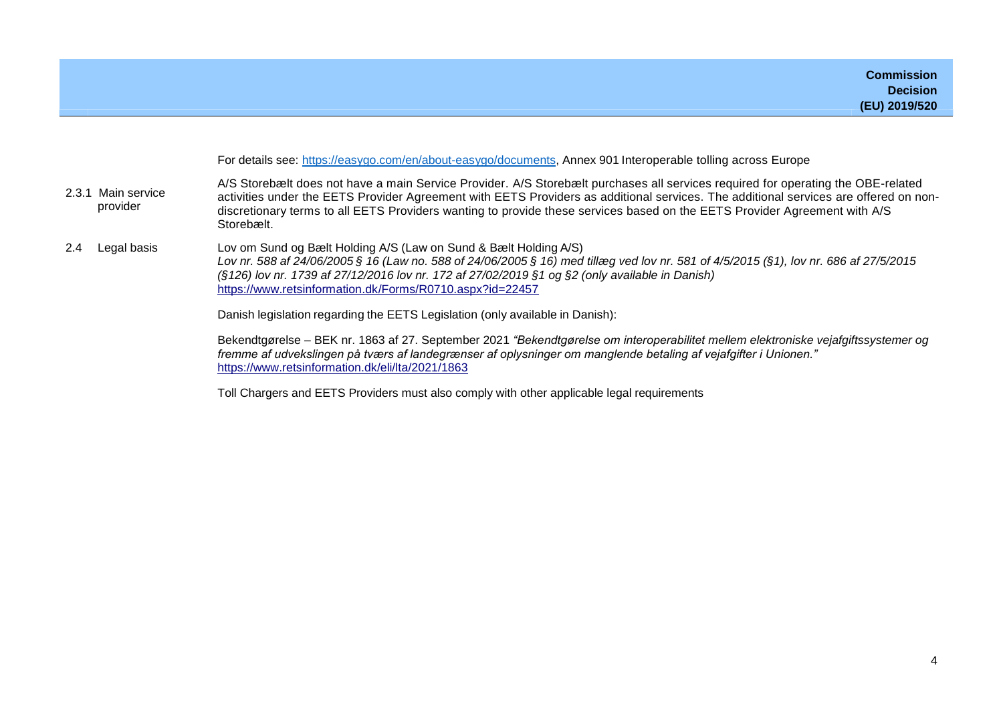|                    |                                | For details see: https://easygo.com/en/about-easygo/documents, Annex 901 Interoperable tolling across Europe                                                                                                                                                                                                                                                                                                        |
|--------------------|--------------------------------|---------------------------------------------------------------------------------------------------------------------------------------------------------------------------------------------------------------------------------------------------------------------------------------------------------------------------------------------------------------------------------------------------------------------|
|                    | 2.3.1 Main service<br>provider | A/S Storebælt does not have a main Service Provider. A/S Storebælt purchases all services required for operating the OBE-related<br>activities under the EETS Provider Agreement with EETS Providers as additional services. The additional services are offered on non-<br>discretionary terms to all EETS Providers wanting to provide these services based on the EETS Provider Agreement with A/S<br>Storebælt. |
| Legal basis<br>2.4 |                                | Lov om Sund og Bælt Holding A/S (Law on Sund & Bælt Holding A/S)<br>Lov nr. 588 af 24/06/2005 § 16 (Law no. 588 of 24/06/2005 § 16) med tillæg ved lov nr. 581 of 4/5/2015 (§1), lov nr. 686 af 27/5/2015<br>(§126) lov nr. 1739 af 27/12/2016 lov nr. 172 af 27/02/2019 §1 og §2 (only available in Danish)<br>https://www.retsinformation.dk/Forms/R0710.aspx?id=22457                                            |
|                    |                                | Danish legislation regarding the EETS Legislation (only available in Danish):                                                                                                                                                                                                                                                                                                                                       |
|                    |                                | Bekendtgørelse – BEK nr. 1863 af 27. September 2021 "Bekendtgørelse om interoperabilitet mellem elektroniske vejafgiftssystemer og<br>fremme af udvekslingen på tværs af landegrænser af oplysninger om manglende betaling af vejafgifter i Unionen."<br>https://www.retsinformation.dk/eli/lta/2021/1863                                                                                                           |

Toll Chargers and EETS Providers must also comply with other applicable legal requirements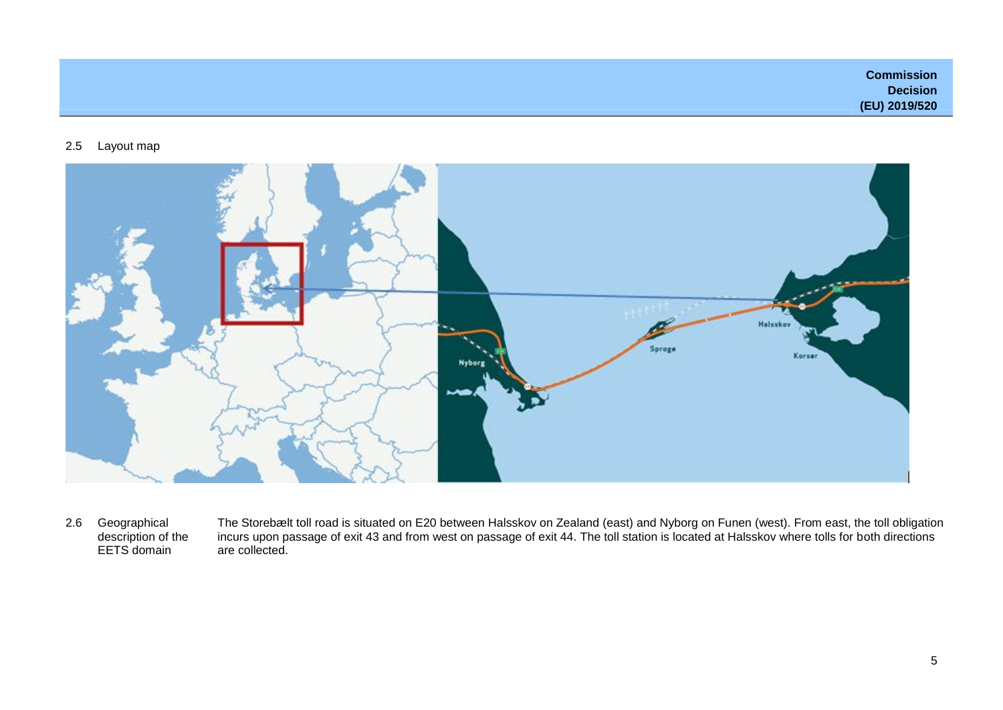**Commission Decision (EU) 2019/520**

### 2.5 Layout map



2.6 Geographical description of the EETS domain

The Storebælt toll road is situated on E20 between Halsskov on Zealand (east) and Nyborg on Funen (west). From east, the toll obligation incurs upon passage of exit 43 and from west on passage of exit 44. The toll station is located at Halsskov where tolls for both directions are collected.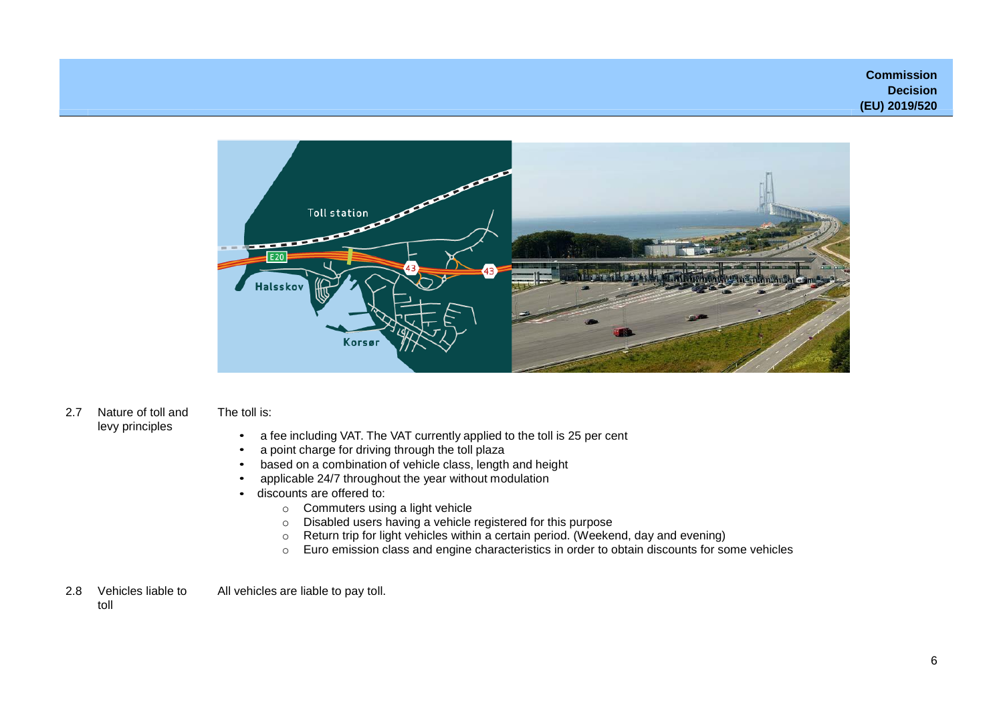**Commission Decision (EU) 2019/520**



2.7 Nature of toll and levy principles

## The toll is:

- a fee including VAT. The VAT currently applied to the toll is 25 per cent
- a point charge for driving through the toll plaza
- based on a combination of vehicle class, length and height
- applicable 24/7 throughout the year without modulation
- discounts are offered to:
	- o Commuters using a light vehicle
	- o Disabled users having a vehicle registered for this purpose
	- o Return trip for light vehicles within a certain period. (Weekend, day and evening)
	- o Euro emission class and engine characteristics in order to obtain discounts for some vehicles
- 2.8 Vehicles liable to All vehicles are liable to pay toll.

toll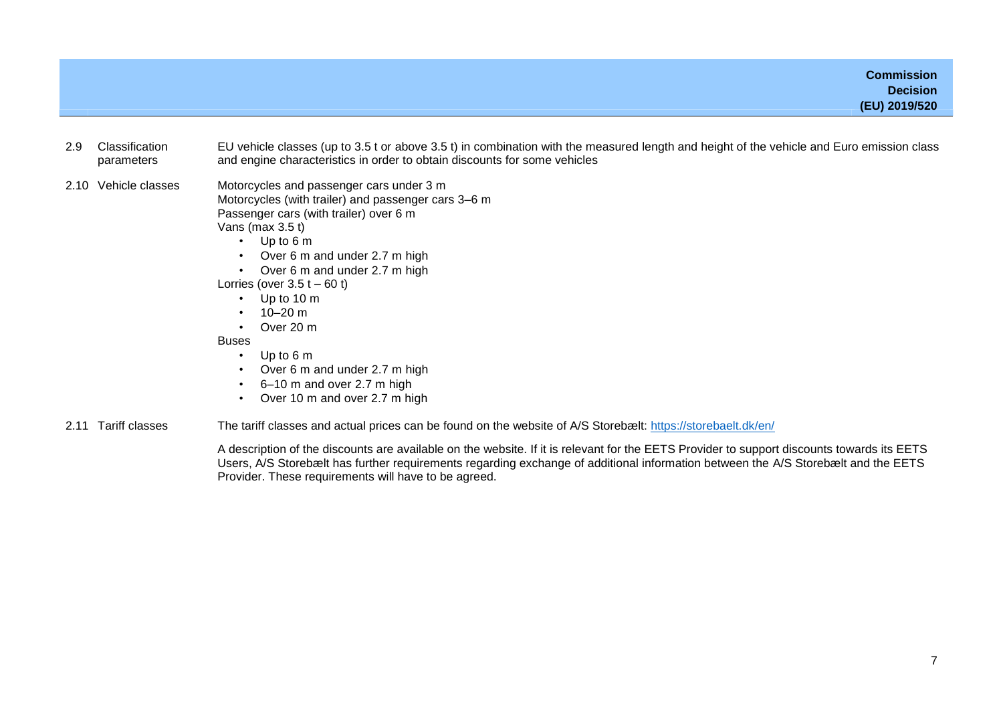**Commission Decision (EU) 2019/520**

- 2.9 Classification parameters EU vehicle classes (up to 3.5 t or above 3.5 t) in combination with the measured length and height of the vehicle and Euro emission class and engine characteristics in order to obtain discounts for some vehicles
- 2.10 Vehicle classes Motorcycles and passenger cars under 3 m Motorcycles (with trailer) and passenger cars 3–6 m Passenger cars (with trailer) over 6 m

Vans (max 3.5 t)

- Up to 6 m
- Over 6 m and under 2.7 m high
- Over 6 m and under 2.7 m high
- Lorries (over  $3.5 t 60 t$ )
	- Up to 10 m
	- $10-20$  m
	- Over 20 m

**Buses** 

- Up to 6 m
- Over 6 m and under 2.7 m high
- 6–10 m and over 2.7 m high
- Over 10 m and over 2.7 m high
- 2.11 Tariff classes The tariff classes and actual prices can be found on the website of A/S Storebælt: <https://storebaelt.dk/en/>

A description of the discounts are available on the website. If it is relevant for the EETS Provider to support discounts towards its EETS Users, A/S Storebælt has further requirements regarding exchange of additional information between the A/S Storebælt and the EETS Provider. These requirements will have to be agreed.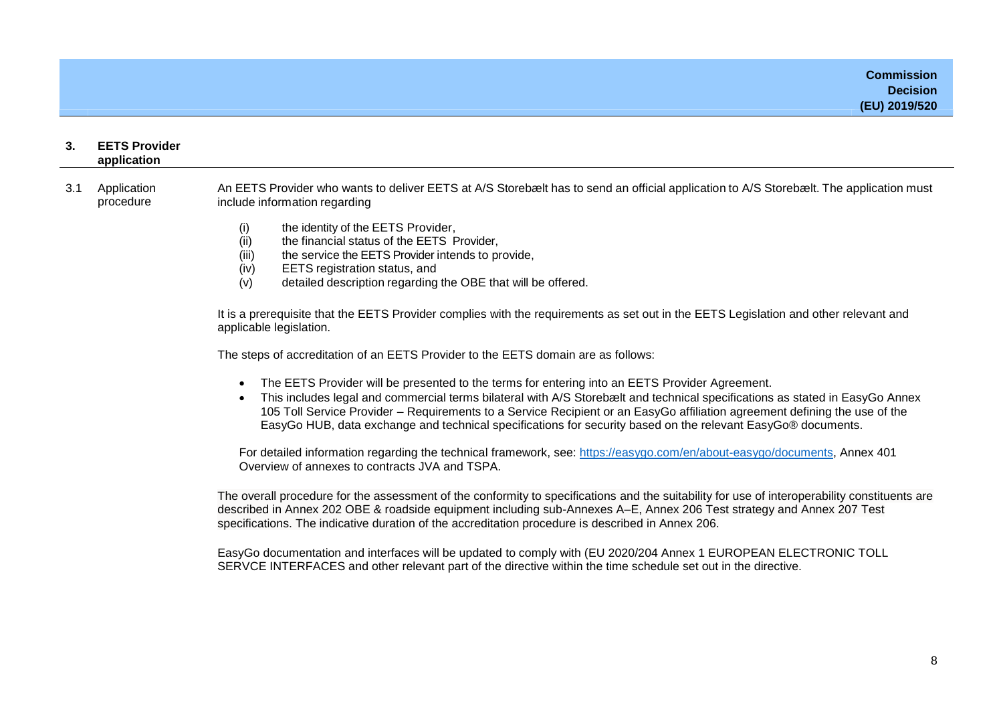| 3.  | <b>EETS Provider</b><br>application |                                                                                                                                                                                                                                                                                                                                                                                                                                                                              |  |
|-----|-------------------------------------|------------------------------------------------------------------------------------------------------------------------------------------------------------------------------------------------------------------------------------------------------------------------------------------------------------------------------------------------------------------------------------------------------------------------------------------------------------------------------|--|
| 3.1 | Application<br>procedure            | An EETS Provider who wants to deliver EETS at A/S Storebælt has to send an official application to A/S Storebælt. The application must<br>include information regarding                                                                                                                                                                                                                                                                                                      |  |
|     |                                     | the identity of the EETS Provider,<br>(i)<br>(ii)<br>the financial status of the EETS Provider,<br>(iii)<br>the service the EETS Provider intends to provide,<br>(iv)<br>EETS registration status, and<br>(v)<br>detailed description regarding the OBE that will be offered.                                                                                                                                                                                                |  |
|     |                                     | It is a prerequisite that the EETS Provider complies with the requirements as set out in the EETS Legislation and other relevant and<br>applicable legislation.                                                                                                                                                                                                                                                                                                              |  |
|     |                                     | The steps of accreditation of an EETS Provider to the EETS domain are as follows:                                                                                                                                                                                                                                                                                                                                                                                            |  |
|     |                                     | The EETS Provider will be presented to the terms for entering into an EETS Provider Agreement.<br>This includes legal and commercial terms bilateral with A/S Storebælt and technical specifications as stated in EasyGo Annex<br>105 Toll Service Provider - Requirements to a Service Recipient or an EasyGo affiliation agreement defining the use of the<br>EasyGo HUB, data exchange and technical specifications for security based on the relevant EasyGo® documents. |  |
|     |                                     | For detailed information regarding the technical framework, see: https://easygo.com/en/about-easygo/documents, Annex 401<br>Overview of annexes to contracts JVA and TSPA.                                                                                                                                                                                                                                                                                                   |  |
|     |                                     | The overall procedure for the assessment of the conformity to specifications and the suitability for use of interoperability constituents are<br>described in Annex 202 OBE & roadside equipment including sub-Annexes A-E, Annex 206 Test strategy and Annex 207 Test<br>specifications. The indicative duration of the accreditation procedure is described in Annex 206.                                                                                                  |  |
|     |                                     | EasyGo documentation and interfaces will be updated to comply with (EU 2020/204 Annex 1 EUROPEAN ELECTRONIC TOLL                                                                                                                                                                                                                                                                                                                                                             |  |

SERVCE INTERFACES and other relevant part of the directive within the time schedule set out in the directive.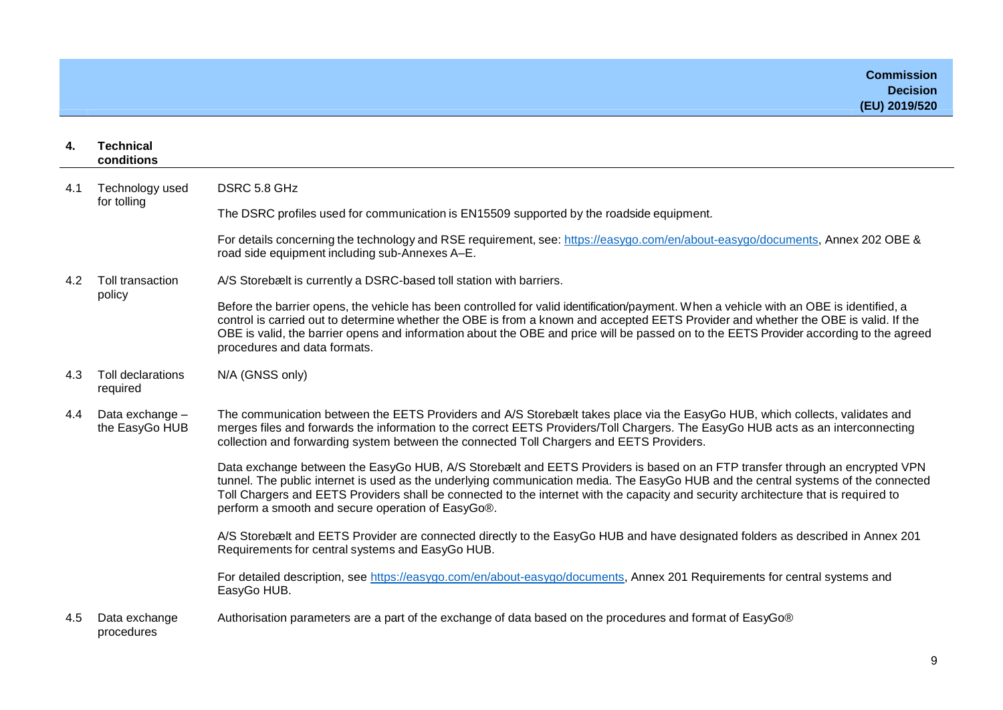| 4.  | <b>Technical</b><br>conditions                                                                                                                                                                                                                                                                                                                                                                    |                                                                                                                                                                                                                                                                                                                                                                                                                                                               |
|-----|---------------------------------------------------------------------------------------------------------------------------------------------------------------------------------------------------------------------------------------------------------------------------------------------------------------------------------------------------------------------------------------------------|---------------------------------------------------------------------------------------------------------------------------------------------------------------------------------------------------------------------------------------------------------------------------------------------------------------------------------------------------------------------------------------------------------------------------------------------------------------|
| 4.1 | Technology used<br>for tolling                                                                                                                                                                                                                                                                                                                                                                    | DSRC 5.8 GHz                                                                                                                                                                                                                                                                                                                                                                                                                                                  |
|     |                                                                                                                                                                                                                                                                                                                                                                                                   | The DSRC profiles used for communication is EN15509 supported by the roadside equipment.                                                                                                                                                                                                                                                                                                                                                                      |
|     |                                                                                                                                                                                                                                                                                                                                                                                                   | For details concerning the technology and RSE requirement, see: https://easygo.com/en/about-easygo/documents, Annex 202 OBE &<br>road side equipment including sub-Annexes A-E.                                                                                                                                                                                                                                                                               |
| 4.2 | Toll transaction<br>policy                                                                                                                                                                                                                                                                                                                                                                        | A/S Storebælt is currently a DSRC-based toll station with barriers.                                                                                                                                                                                                                                                                                                                                                                                           |
|     |                                                                                                                                                                                                                                                                                                                                                                                                   | Before the barrier opens, the vehicle has been controlled for valid identification/payment. When a vehicle with an OBE is identified, a<br>control is carried out to determine whether the OBE is from a known and accepted EETS Provider and whether the OBE is valid. If the<br>OBE is valid, the barrier opens and information about the OBE and price will be passed on to the EETS Provider according to the agreed<br>procedures and data formats.      |
| 4.3 | <b>Toll declarations</b><br>required                                                                                                                                                                                                                                                                                                                                                              | N/A (GNSS only)                                                                                                                                                                                                                                                                                                                                                                                                                                               |
| 4.4 | Data exchange -<br>The communication between the EETS Providers and A/S Storebælt takes place via the EasyGo HUB, which collects, validates and<br>merges files and forwards the information to the correct EETS Providers/Toll Chargers. The EasyGo HUB acts as an interconnecting<br>the EasyGo HUB<br>collection and forwarding system between the connected Toll Chargers and EETS Providers. |                                                                                                                                                                                                                                                                                                                                                                                                                                                               |
|     |                                                                                                                                                                                                                                                                                                                                                                                                   | Data exchange between the EasyGo HUB, A/S Storebælt and EETS Providers is based on an FTP transfer through an encrypted VPN<br>tunnel. The public internet is used as the underlying communication media. The EasyGo HUB and the central systems of the connected<br>Toll Chargers and EETS Providers shall be connected to the internet with the capacity and security architecture that is required to<br>perform a smooth and secure operation of EasyGo®. |
|     |                                                                                                                                                                                                                                                                                                                                                                                                   | A/S Storebælt and EETS Provider are connected directly to the EasyGo HUB and have designated folders as described in Annex 201<br>Requirements for central systems and EasyGo HUB.                                                                                                                                                                                                                                                                            |
|     |                                                                                                                                                                                                                                                                                                                                                                                                   | For detailed description, see https://easygo.com/en/about-easygo/documents, Annex 201 Requirements for central systems and<br>EasyGo HUB.                                                                                                                                                                                                                                                                                                                     |
| 4.5 | Data exchange<br>procedures                                                                                                                                                                                                                                                                                                                                                                       | Authorisation parameters are a part of the exchange of data based on the procedures and format of EasyGo®                                                                                                                                                                                                                                                                                                                                                     |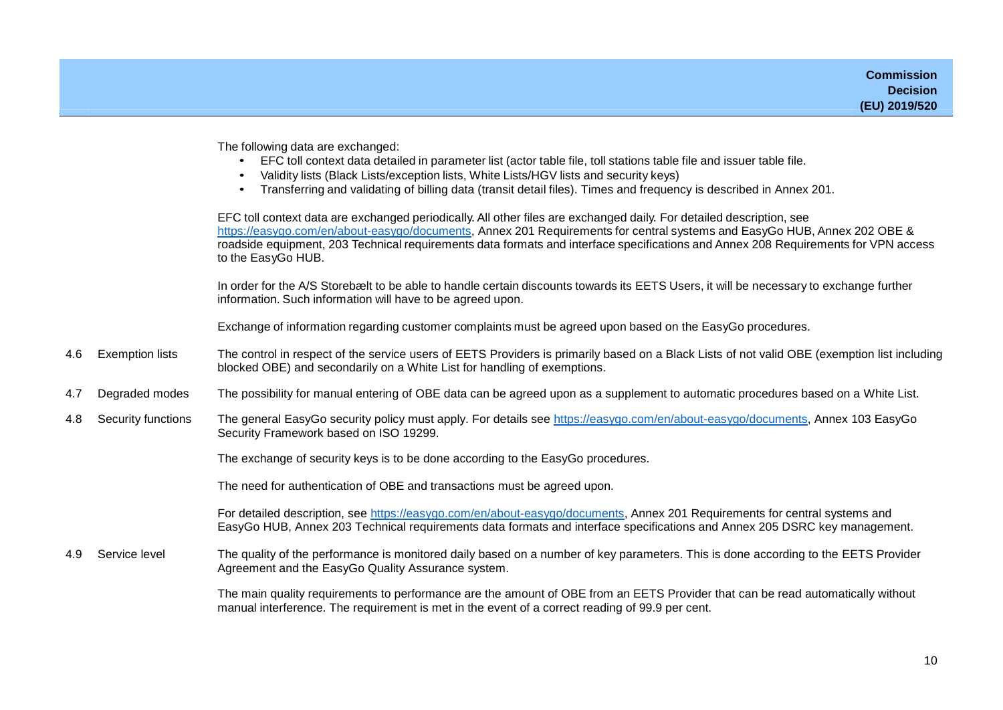The following data are exchanged:

- EFC toll context data detailed in parameter list (actor table file, toll stations table file and issuer table file.
- Validity lists (Black Lists/exception lists, White Lists/HGV lists and security keys)
- Transferring and validating of billing data (transit detail files). Times and frequency is described in Annex 201.

EFC toll context data are exchanged periodically. All other files are exchanged daily. For detailed description, see [https://easygo.com/en/about-easygo/documents,](https://easygo.com/en/about-easygo/documents) Annex 201 Requirements for central systems and EasyGo HUB, Annex 202 OBE & roadside equipment, 203 Technical requirements data formats and interface specifications and Annex 208 Requirements for VPN access to the EasyGo HUB.

In order for the A/S Storebælt to be able to handle certain discounts towards its EETS Users, it will be necessary to exchange further information. Such information will have to be agreed upon.

Exchange of information regarding customer complaints must be agreed upon based on the EasyGo procedures.

- 4.6 Exemption lists The control in respect of the service users of EETS Providers is primarily based on a Black Lists of not valid OBE (exemption list including blocked OBE) and secondarily on a White List for handling of exemptions.
- 4.7 Degraded modes The possibility for manual entering of OBE data can be agreed upon as a supplement to automatic procedures based on a White List.
- 4.8 Security functions The general EasyGo security policy must apply. For details see [https://easygo.com/en/about-easygo/documents,](https://easygo.com/en/about-easygo/documents) Annex 103 EasyGo Security Framework based on ISO 19299.

The exchange of security keys is to be done according to the EasyGo procedures.

The need for authentication of OBE and transactions must be agreed upon.

For detailed description, see [https://easygo.com/en/about-easygo/documents,](https://easygo.com/en/about-easygo/documents) Annex 201 Requirements for central systems and EasyGo HUB, Annex 203 Technical requirements data formats and interface specifications and Annex 205 DSRC key management.

4.9 Service level The quality of the performance is monitored daily based on a number of key parameters. This is done according to the EETS Provider Agreement and the EasyGo Quality Assurance system.

> The main quality requirements to performance are the amount of OBE from an EETS Provider that can be read automatically without manual interference. The requirement is met in the event of a correct reading of 99.9 per cent.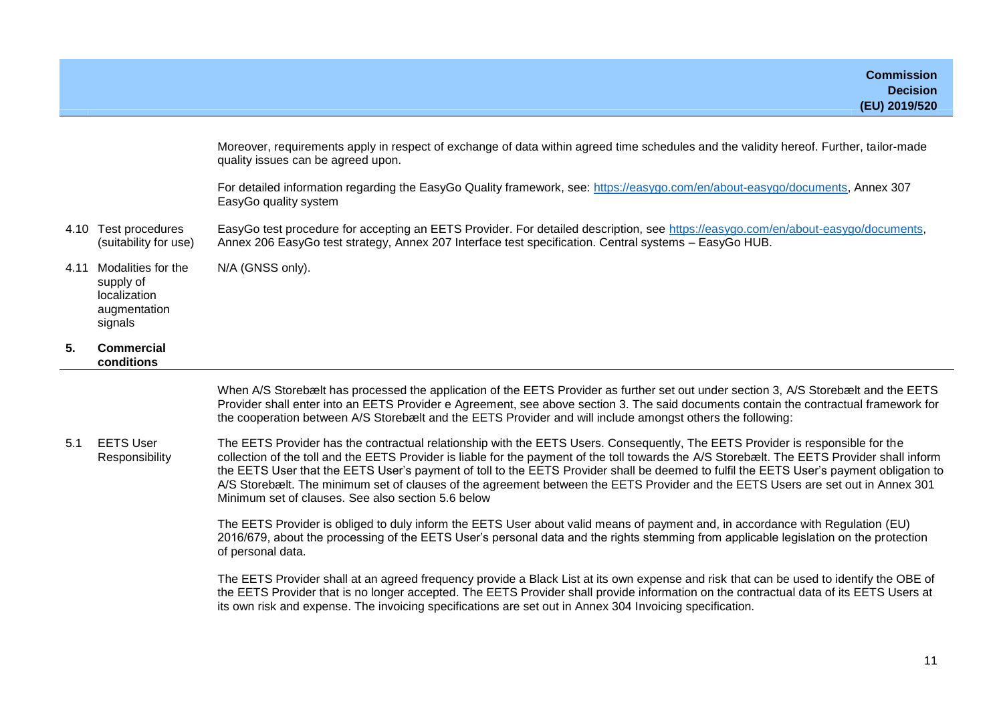| 5.   | Commercial                                                                 |                                                                                                                                                                                                                                            |
|------|----------------------------------------------------------------------------|--------------------------------------------------------------------------------------------------------------------------------------------------------------------------------------------------------------------------------------------|
| 4.11 | Modalities for the<br>supply of<br>localization<br>augmentation<br>signals | N/A (GNSS only).                                                                                                                                                                                                                           |
| 4.10 | Test procedures<br>(suitability for use)                                   | EasyGo test procedure for accepting an EETS Provider. For detailed description, see https://easygo.com/en/about-easygo/documents,<br>Annex 206 EasyGo test strategy, Annex 207 Interface test specification. Central systems - EasyGo HUB. |
|      |                                                                            | For detailed information regarding the EasyGo Quality framework, see: https://easygo.com/en/about-easygo/documents, Annex 307<br>EasyGo quality system                                                                                     |
|      |                                                                            | Moreover, requirements apply in respect of exchange of data within agreed time schedules and the validity hereof. Further, tailor-made<br>quality issues can be agreed upon.                                                               |

**conditions**

When A/S Storebælt has processed the application of the EETS Provider as further set out under section 3, A/S Storebælt and the EETS Provider shall enter into an EETS Provider e Agreement, see above section 3. The said documents contain the contractual framework for the cooperation between A/S Storebælt and the EETS Provider and will include amongst others the following:

5.1 EETS User Responsibility The EETS Provider has the contractual relationship with the EETS Users. Consequently, The EETS Provider is responsible for the collection of the toll and the EETS Provider is liable for the payment of the toll towards the A/S Storebælt. The EETS Provider shall inform the EETS User that the EETS User's payment of toll to the EETS Provider shall be deemed to fulfil the EETS User's payment obligation to A/S Storebælt. The minimum set of clauses of the agreement between the EETS Provider and the EETS Users are set out in Annex 301 Minimum set of clauses. See also section 5.6 below

> The EETS Provider is obliged to duly inform the EETS User about valid means of payment and, in accordance with Regulation (EU) 2016/679, about the processing of the EETS User's personal data and the rights stemming from applicable legislation on the protection of personal data.

> The EETS Provider shall at an agreed frequency provide a Black List at its own expense and risk that can be used to identify the OBE of the EETS Provider that is no longer accepted. The EETS Provider shall provide information on the contractual data of its EETS Users at its own risk and expense. The invoicing specifications are set out in Annex 304 Invoicing specification.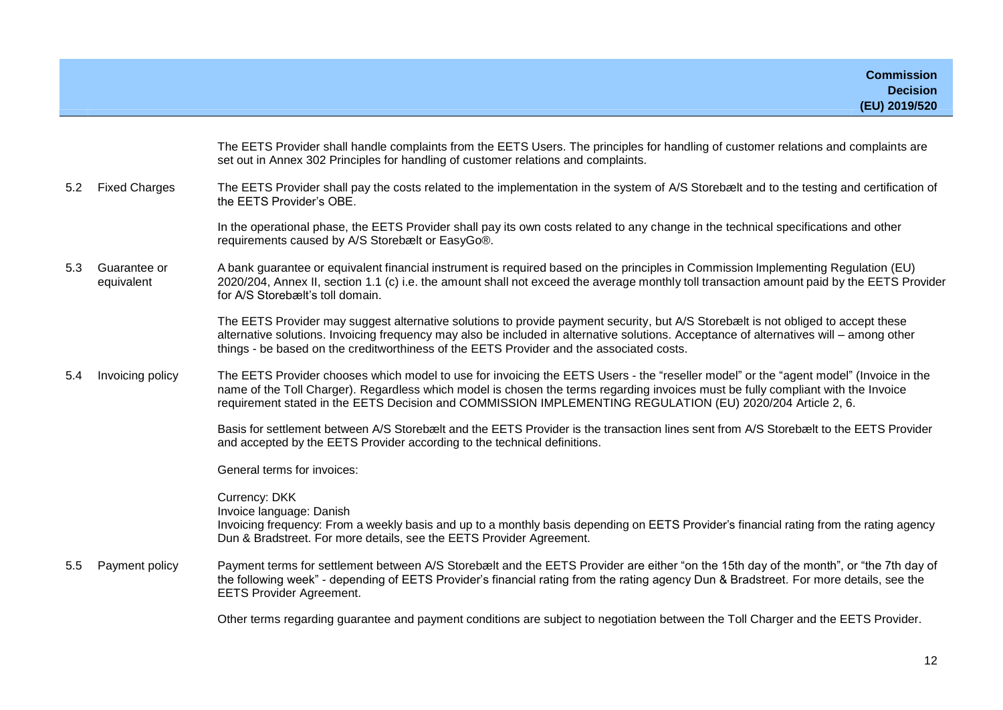|     |                            | The EETS Provider shall handle complaints from the EETS Users. The principles for handling of customer relations and complaints are<br>set out in Annex 302 Principles for handling of customer relations and complaints.                                                                                                                                                                |
|-----|----------------------------|------------------------------------------------------------------------------------------------------------------------------------------------------------------------------------------------------------------------------------------------------------------------------------------------------------------------------------------------------------------------------------------|
| 5.2 | <b>Fixed Charges</b>       | The EETS Provider shall pay the costs related to the implementation in the system of A/S Storebælt and to the testing and certification of<br>the EETS Provider's OBE.                                                                                                                                                                                                                   |
|     |                            | In the operational phase, the EETS Provider shall pay its own costs related to any change in the technical specifications and other<br>requirements caused by A/S Storebælt or EasyGo®.                                                                                                                                                                                                  |
| 5.3 | Guarantee or<br>equivalent | A bank guarantee or equivalent financial instrument is required based on the principles in Commission Implementing Regulation (EU)<br>2020/204, Annex II, section 1.1 (c) i.e. the amount shall not exceed the average monthly toll transaction amount paid by the EETS Provider<br>for A/S Storebælt's toll domain.                                                                     |
|     |                            | The EETS Provider may suggest alternative solutions to provide payment security, but A/S Storebælt is not obliged to accept these<br>alternative solutions. Invoicing frequency may also be included in alternative solutions. Acceptance of alternatives will – among other<br>things - be based on the creditworthiness of the EETS Provider and the associated costs.                 |
| 5.4 | Invoicing policy           | The EETS Provider chooses which model to use for invoicing the EETS Users - the "reseller model" or the "agent model" (Invoice in the<br>name of the Toll Charger). Regardless which model is chosen the terms regarding invoices must be fully compliant with the Invoice<br>requirement stated in the EETS Decision and COMMISSION IMPLEMENTING REGULATION (EU) 2020/204 Article 2, 6. |
|     |                            | Basis for settlement between A/S Storebælt and the EETS Provider is the transaction lines sent from A/S Storebælt to the EETS Provider<br>and accepted by the EETS Provider according to the technical definitions.                                                                                                                                                                      |
|     |                            | General terms for invoices:                                                                                                                                                                                                                                                                                                                                                              |
|     |                            | Currency: DKK<br>Invoice language: Danish<br>Invoicing frequency: From a weekly basis and up to a monthly basis depending on EETS Provider's financial rating from the rating agency<br>Dun & Bradstreet. For more details, see the EETS Provider Agreement.                                                                                                                             |
| 5.5 | Payment policy             | Payment terms for settlement between A/S Storebælt and the EETS Provider are either "on the 15th day of the month", or "the 7th day of<br>the following week" - depending of EETS Provider's financial rating from the rating agency Dun & Bradstreet. For more details, see the<br><b>EETS Provider Agreement.</b>                                                                      |
|     |                            | Other terms regarding guarantee and payment conditions are subject to negotiation between the Toll Charger and the EETS Provider.                                                                                                                                                                                                                                                        |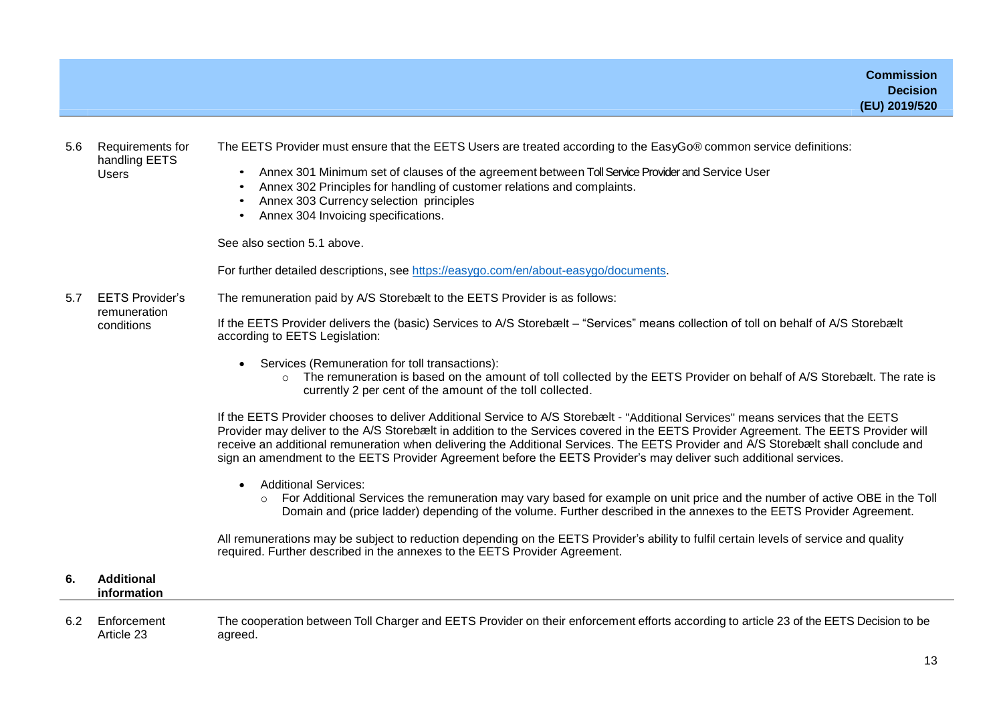#### 5.6 Requirements for handling EETS Users

The EETS Provider must ensure that the EETS Users are treated according to the EasyGo® common service definitions:

- Annex 301 Minimum set of clauses of the agreement between Toll Service Provider and Service User
- Annex 302 Principles for handling of customer relations and complaints.
- Annex 303 Currency selection principles
- Annex 304 Invoicing specifications.

See also section 5.1 above.

For further detailed descriptions, see [https://easygo.com/en/about-easygo/documents.](https://easygo.com/en/about-easygo/documents)

5.7 EETS Provider's remuneration conditions The remuneration paid by A/S Storebælt to the EETS Provider is as follows: If the EETS Provider delivers the (basic) Services to A/S Storebælt – "Services" means collection of toll on behalf of A/S Storebælt according to EETS Legislation:

- Services (Remuneration for toll transactions):
	- $\circ$  The remuneration is based on the amount of toll collected by the EETS Provider on behalf of A/S Storebælt. The rate is currently 2 per cent of the amount of the toll collected.

If the EETS Provider chooses to deliver Additional Service to A/S Storebælt - "Additional Services" means services that the EETS Provider may deliver to the A/S Storebælt in addition to the Services covered in the EETS Provider Agreement. The EETS Provider will receive an additional remuneration when delivering the Additional Services. The EETS Provider and A/S Storebælt shall conclude and sign an amendment to the EETS Provider Agreement before the EETS Provider's may deliver such additional services.

- Additional Services:
	- o For Additional Services the remuneration may vary based for example on unit price and the number of active OBE in the Toll Domain and (price ladder) depending of the volume. Further described in the annexes to the EETS Provider Agreement.

All remunerations may be subject to reduction depending on the EETS Provider's ability to fulfil certain levels of service and quality required. Further described in the annexes to the EETS Provider Agreement.

#### **6. Additional information**

6.2 Enforcement Article 23 The cooperation between Toll Charger and EETS Provider on their enforcement efforts according to article 23 of the EETS Decision to be agreed.